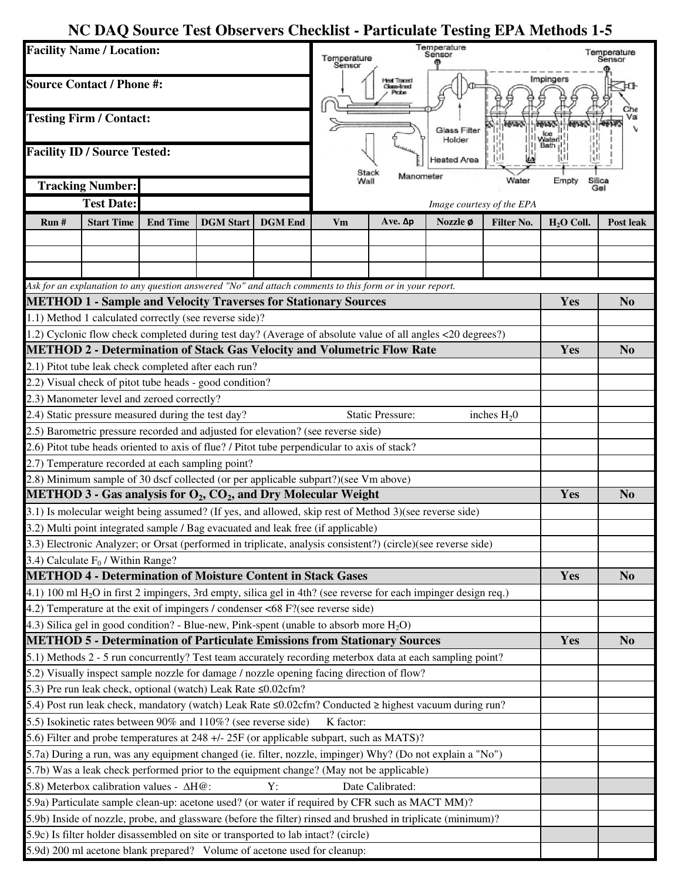## **NC DAQ Source Test Observers Checklist - Particulate Testing EPA Methods 1-5**

| <b>Facility Name / Location:</b><br><b>Source Contact / Phone #:</b><br><b>Testing Firm / Contact:</b><br><b>Facility ID / Source Tested:</b> |                                                                                                              |                 |                  |                | I emperature<br>Sensor<br>Temperature<br>Sensor<br><b>Heat Traced</b><br>Glass-lined<br><b>Glass Filter</b><br>Holder<br>leated Area<br>Stack |                   |          |                           | Temperature<br>Sensor<br>Impingers |                         |
|-----------------------------------------------------------------------------------------------------------------------------------------------|--------------------------------------------------------------------------------------------------------------|-----------------|------------------|----------------|-----------------------------------------------------------------------------------------------------------------------------------------------|-------------------|----------|---------------------------|------------------------------------|-------------------------|
|                                                                                                                                               |                                                                                                              |                 |                  |                |                                                                                                                                               |                   |          |                           |                                    |                         |
|                                                                                                                                               |                                                                                                              |                 |                  |                |                                                                                                                                               |                   |          |                           |                                    |                         |
|                                                                                                                                               |                                                                                                              |                 |                  |                |                                                                                                                                               |                   |          |                           |                                    | <b>Tracking Number:</b> |
|                                                                                                                                               | <b>Test Date:</b>                                                                                            |                 |                  |                |                                                                                                                                               |                   |          | Image courtesy of the EPA |                                    |                         |
| Run#                                                                                                                                          | <b>Start Time</b>                                                                                            | <b>End Time</b> | <b>DGM</b> Start | <b>DGM</b> End | Vm                                                                                                                                            | $Ave.$ $\Delta p$ | Nozzle ø | Filter No.                | $H2O$ Coll.                        | <b>Post leak</b>        |
|                                                                                                                                               |                                                                                                              |                 |                  |                |                                                                                                                                               |                   |          |                           |                                    |                         |
|                                                                                                                                               |                                                                                                              |                 |                  |                |                                                                                                                                               |                   |          |                           |                                    |                         |
|                                                                                                                                               |                                                                                                              |                 |                  |                |                                                                                                                                               |                   |          |                           |                                    |                         |
|                                                                                                                                               | Ask for an explanation to any question answered "No" and attach comments to this form or in your report.     |                 |                  |                |                                                                                                                                               |                   |          |                           |                                    |                         |
| <b>METHOD 1 - Sample and Velocity Traverses for Stationary Sources</b>                                                                        |                                                                                                              |                 |                  |                |                                                                                                                                               |                   |          |                           | Yes                                | N <sub>0</sub>          |
|                                                                                                                                               | 1.1) Method 1 calculated correctly (see reverse side)?                                                       |                 |                  |                |                                                                                                                                               |                   |          |                           |                                    |                         |
| 1.2) Cyclonic flow check completed during test day? (Average of absolute value of all angles <20 degrees?)                                    |                                                                                                              |                 |                  |                |                                                                                                                                               |                   |          |                           |                                    |                         |
| <b>METHOD 2 - Determination of Stack Gas Velocity and Volumetric Flow Rate</b>                                                                |                                                                                                              |                 |                  |                |                                                                                                                                               |                   |          |                           | Yes                                | N <sub>0</sub>          |
|                                                                                                                                               | 2.1) Pitot tube leak check completed after each run?                                                         |                 |                  |                |                                                                                                                                               |                   |          |                           |                                    |                         |
|                                                                                                                                               | 2.2) Visual check of pitot tube heads - good condition?                                                      |                 |                  |                |                                                                                                                                               |                   |          |                           |                                    |                         |
|                                                                                                                                               | 2.3) Manometer level and zeroed correctly?                                                                   |                 |                  |                |                                                                                                                                               |                   |          |                           |                                    |                         |
| 2.4) Static pressure measured during the test day?<br><b>Static Pressure:</b><br>inches $H_2$ 0                                               |                                                                                                              |                 |                  |                |                                                                                                                                               |                   |          |                           |                                    |                         |
|                                                                                                                                               | 2.5) Barometric pressure recorded and adjusted for elevation? (see reverse side)                             |                 |                  |                |                                                                                                                                               |                   |          |                           |                                    |                         |
|                                                                                                                                               | 2.6) Pitot tube heads oriented to axis of flue? / Pitot tube perpendicular to axis of stack?                 |                 |                  |                |                                                                                                                                               |                   |          |                           |                                    |                         |
|                                                                                                                                               | 2.7) Temperature recorded at each sampling point?                                                            |                 |                  |                |                                                                                                                                               |                   |          |                           |                                    |                         |
| 2.8) Minimum sample of 30 dscf collected (or per applicable subpart?)(see Vm above)                                                           |                                                                                                              |                 |                  |                |                                                                                                                                               |                   |          |                           |                                    |                         |
| <b>METHOD 3 - Gas analysis for <math>O_2</math>, <math>CO_2</math>, and Dry Molecular Weight</b>                                              |                                                                                                              |                 |                  |                |                                                                                                                                               |                   |          |                           | Yes                                | N <sub>0</sub>          |
| 3.1) Is molecular weight being assumed? (If yes, and allowed, skip rest of Method 3) (see reverse side)                                       |                                                                                                              |                 |                  |                |                                                                                                                                               |                   |          |                           |                                    |                         |
|                                                                                                                                               | 3.2) Multi point integrated sample / Bag evacuated and leak free (if applicable)                             |                 |                  |                |                                                                                                                                               |                   |          |                           |                                    |                         |
| 3.3) Electronic Analyzer; or Orsat (performed in triplicate, analysis consistent?) (circle)(see reverse side)                                 |                                                                                                              |                 |                  |                |                                                                                                                                               |                   |          |                           |                                    |                         |
| 3.4) Calculate $F_0$ / Within Range?                                                                                                          |                                                                                                              |                 |                  |                |                                                                                                                                               |                   |          |                           |                                    |                         |
| <b>METHOD 4 - Determination of Moisture Content in Stack Gases</b>                                                                            |                                                                                                              |                 |                  |                |                                                                                                                                               |                   |          |                           | Yes                                | N <sub>0</sub>          |
| 4.1) 100 ml H <sub>2</sub> O in first 2 impingers, 3rd empty, silica gel in 4th? (see reverse for each impinger design req.)                  |                                                                                                              |                 |                  |                |                                                                                                                                               |                   |          |                           |                                    |                         |
|                                                                                                                                               | 4.2) Temperature at the exit of impingers / condenser <68 F?(see reverse side)                               |                 |                  |                |                                                                                                                                               |                   |          |                           |                                    |                         |
|                                                                                                                                               | 4.3) Silica gel in good condition? - Blue-new, Pink-spent (unable to absorb more $H_2O$ )                    |                 |                  |                |                                                                                                                                               |                   |          |                           |                                    |                         |
| <b>METHOD 5 - Determination of Particulate Emissions from Stationary Sources</b>                                                              |                                                                                                              |                 |                  |                |                                                                                                                                               |                   |          |                           | Yes                                | N <sub>0</sub>          |
| 5.1) Methods 2 - 5 run concurrently? Test team accurately recording meterbox data at each sampling point?                                     |                                                                                                              |                 |                  |                |                                                                                                                                               |                   |          |                           |                                    |                         |
|                                                                                                                                               | 5.2) Visually inspect sample nozzle for damage / nozzle opening facing direction of flow?                    |                 |                  |                |                                                                                                                                               |                   |          |                           |                                    |                         |
|                                                                                                                                               | 5.3) Pre run leak check, optional (watch) Leak Rate ≤0.02cfm?                                                |                 |                  |                |                                                                                                                                               |                   |          |                           |                                    |                         |
| 5.4) Post run leak check, mandatory (watch) Leak Rate ≤0.02cfm? Conducted ≥ highest vacuum during run?                                        |                                                                                                              |                 |                  |                |                                                                                                                                               |                   |          |                           |                                    |                         |
| 5.5) Isokinetic rates between 90% and 110%? (see reverse side)<br>K factor:                                                                   |                                                                                                              |                 |                  |                |                                                                                                                                               |                   |          |                           |                                    |                         |
| 5.6) Filter and probe temperatures at 248 +/- 25F (or applicable subpart, such as MATS)?                                                      |                                                                                                              |                 |                  |                |                                                                                                                                               |                   |          |                           |                                    |                         |
| 5.7a) During a run, was any equipment changed (ie. filter, nozzle, impinger) Why? (Do not explain a "No")                                     |                                                                                                              |                 |                  |                |                                                                                                                                               |                   |          |                           |                                    |                         |
| 5.7b) Was a leak check performed prior to the equipment change? (May not be applicable)                                                       |                                                                                                              |                 |                  |                |                                                                                                                                               |                   |          |                           |                                    |                         |
|                                                                                                                                               | 5.8) Meterbox calibration values - ΔH@:                                                                      |                 |                  | Y:             |                                                                                                                                               | Date Calibrated:  |          |                           |                                    |                         |
|                                                                                                                                               | 5.9a) Particulate sample clean-up: acetone used? (or water if required by CFR such as MACT MM)?              |                 |                  |                |                                                                                                                                               |                   |          |                           |                                    |                         |
|                                                                                                                                               | 5.9b) Inside of nozzle, probe, and glassware (before the filter) rinsed and brushed in triplicate (minimum)? |                 |                  |                |                                                                                                                                               |                   |          |                           |                                    |                         |
|                                                                                                                                               | 5.9c) Is filter holder disassembled on site or transported to lab intact? (circle)                           |                 |                  |                |                                                                                                                                               |                   |          |                           |                                    |                         |
|                                                                                                                                               | 5.9d) 200 ml acetone blank prepared? Volume of acetone used for cleanup:                                     |                 |                  |                |                                                                                                                                               |                   |          |                           |                                    |                         |